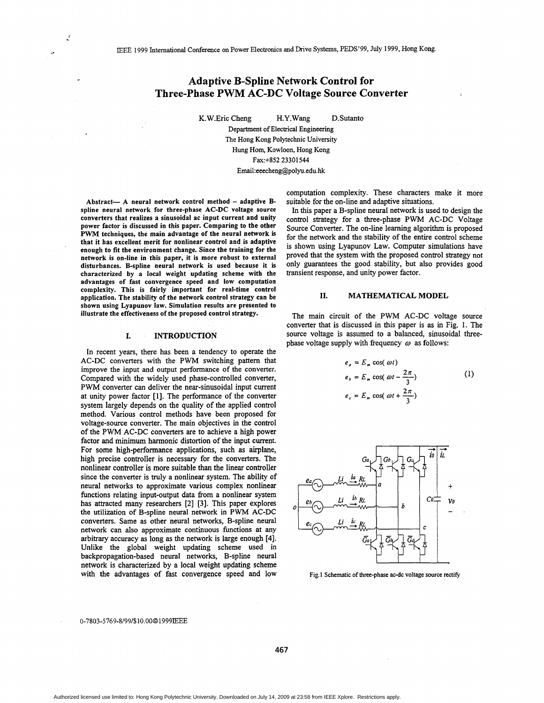# **Adaptive B-Spline Network Control for Three-phase PWM AC-DC Voltage Source Converter**

K.W.Eric Cheng H.Y.Wang D.Sutanto Department of Electrical Engineering The Hong Kong Polytechnic University

Hung Horn, Kowloon, Hong Kong Fax:+852 23301544 **Email:eeecheng@polyu.edu.hk** 

Abstract- A neural network control method - adaptive Bspline neural network for three-phase AC-DC voltage source converters that realizes a sinusoidal ac input current and unity power factor is discussed in this paper. Comparing to the other PWM techniques, the main advantage of the neural network **is**  that it has excellent merit for nonlinear control and is adaptive enough to fit the environment change. Since the training for the network is on-line in this paper, it is more robust to external disturbances. B-spline neural network is used because it **is**  characterized by a local weight updating scheme with the advantages of fast convergence speed and low computation complexity. This is fairly important for real-time control application. The stability of the network control strategy can be shown using Lyapunov law. Simulation results are presented to illustrate the effectiveness of the proposed control strategy.

#### **I. INTRODUCTION**

In recent years, there has been a tendency to operate the AC-DC converters with the **PWM** switching pattern that improve the input **and output** performance of the converter. Compared with the widely used phase-controlled converter, PWM converter can deliver the near-sinusoidal input current at unity power factor [l]. The performance of the converter system largely depends on the quality of the applied control method. Various control methods have been proposed for voltage-source converter. The main objectives in the control of the PWM AC-DC converters are to achieve a high power factor and minimum harmonic distortion of the input current. For some high-performance applications, such as airplane, high precise controller is necessary for the converters. The nonlinear controller **is** more suitable than the linear controller since the converter is truly a nonlinear system. The ability of neural networks to approximate various complex nonlinear functions relating input-output data from a nonlinear system has attracted many researchers [2] [3]. This paper explores the utilization of B-spline neural network in **PWM** AC-DC converters. Same as other neural networks, B-spline neural network can also approximate continuous functions at any arbitrary accuracy **as** long **as** the network is large enough **[4].**  Unlike the global weight updating scheme used in backpropagation-based neural networks, B-spline neural network is characterized by a local weight updating scheme with the advantages of fast convergence speed and low

computation complexity. These characters make it more suitable for the on-line and adaptive situations.

In this paper a B-spline neural network is used to design the control strategy for a three-phase PWM AC-DC Voltage Source Converter. The on-line learning algorithm is proposed for the network and the stability of the entire control scheme is shown using Lyapunov Law. Computer simulations have proved that the system with the proposed control strategy not only guarantees the good stability, but also provides good transient response, and unity power factor.

## **11. MATHEMATICAL MODEL**

The main circuit of the PWM AC-DC voltage source converter that is discussed in this paper is **as** in Fig. 1. The source voltage is assumed to a balanced, sinusoidal threephase voltage supply with frequency  $\omega$  as follows:

$$
e_a = E_m \cos(\omega t)
$$
  
\n
$$
e_b = E_m \cos(\omega t - \frac{2\pi}{3})
$$
\n
$$
e_c = E_m \cos(\omega t + \frac{2\pi}{3})
$$
\n(1)



Fig.1 Schematic of three-phase ac-dc voltage source rectify

#### 0-7803-5 76 9-8/9 9/\$10.00 *0* 1 9 9 9IEEE

**467**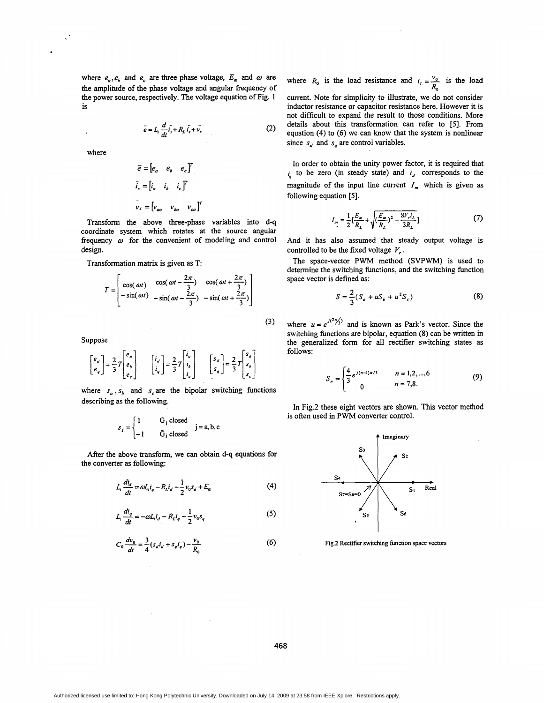where  $e_a$ ,  $e_b$  and  $e_c$  are three phase voltage,  $E_m$  and  $\omega$  are the amplitude of the phase voltage and angular fiequency of the power source, respectively. The voltage equation of Fig. 1 is

$$
\bar{e} = L_i \frac{d}{dt} \bar{i}_s + R_L \bar{i}_s + \bar{v}_s
$$
 (2)

where

$$
\overline{e} = \begin{bmatrix} e_a & e_b & e_c \end{bmatrix}^T
$$

$$
\overline{i}_s = \begin{bmatrix} i_a & i_b & i_c \end{bmatrix}^T
$$

$$
\overline{v}_s = \begin{bmatrix} v_{ao} & v_{bo} & v_{co} \end{bmatrix}^T
$$

Transform the above three-phase variables into d-q coordinate system which rotates at the source angular fiequency *o* for the convenient of modeling and control design.

Transformation matrix **is** given **as** T:

$$
T = \begin{bmatrix} \cos(\omega t) & \cos(\omega t - \frac{2\pi}{3}) & \cos(\omega t + \frac{2\pi}{3}) \\ -\sin(\omega t) & -\sin(\omega t - \frac{2\pi}{3}) & -\sin(\omega t + \frac{2\pi}{3}) \end{bmatrix}
$$
(3)

Suppose

$$
\begin{bmatrix} e_d \\ e_q \end{bmatrix} = \frac{2}{3} T \begin{bmatrix} e_o \\ e_b \\ e_c \end{bmatrix} \qquad \begin{bmatrix} i_d \\ i_q \end{bmatrix} = \frac{2}{3} T \begin{bmatrix} i_o \\ i_b \\ i_c \end{bmatrix} \qquad \begin{bmatrix} s_d \\ s_q \end{bmatrix} = \frac{2}{3} T \begin{bmatrix} s_a \\ s_b \\ s_c \end{bmatrix}
$$

where  $s_a$ ,  $s_b$  and  $s_c$  are the bipolar switching functions describing **as** *the* following.

$$
s_j = \begin{cases} 1 & \text{G}_j \text{ closed} \\ -1 & \text{G}_j \text{ closed} \end{cases} j = a, b, c
$$

After the above transform, we can obtain d-q equations for the converter **as** following:

$$
L_i \frac{di_d}{dt} = \omega L_i i_q - R_i i_d - \frac{1}{2} v_0 s_d + E_m
$$
 (4)

$$
L_i \frac{di_q}{dt} = -\omega L_i i_q - R_i i_q - \frac{1}{2} v_0 s_q
$$
 (5)

$$
L_i \frac{dV_g}{dt} = -\omega L_i i_g - R_i i_g - \frac{1}{2} V_0 s_g
$$
  

$$
C_0 \frac{dV_0}{dt} = \frac{3}{4} (s_d i_d + s_q i_q) - \frac{V_0}{R_0}
$$

where  $R_0$  is the load resistance and  $i_L = \frac{v_0}{R_0}$  is the load current. Note for simplicity to illustrate, we **do** not consider inductor resistance or capacitor resistance here. However it is not difficult to expand the result to those conditions. More details about this transformation can refer to *[5].* From equation **(4)** to *(6)* we can know that the system is nonlinear since  $s_d$  and  $s_g$  are control variables.

In order to obtain the unity power factor, it is required that **i,** to be zero (in steady state) and *i,* corresponds to the magnitude of the input line current  $I_m$  which is given as following equation *[5].* 

$$
I_m = \frac{1}{2} \left[ \frac{E_m}{R_L} + \sqrt{\left(\frac{E_m}{R_L}\right)^2 - \frac{8V_r i_L}{3R_L}} \right] \tag{7}
$$

And it has also assumed that steady output voltage is controlled to be the fixed voltage *V,* .

The space-vector PWM method (SVPWM) is used to determine the switching functions, and the switching function space vector is defined **as:** 

$$
S = \frac{2}{3}(S_a + uS_b + u^2S_c)
$$
 (8)

where  $u = e^{j(2\pi/3)}$  and is known as Park's vector. Since the switching functions are bipolar, equation **(8)** can be written in the generalized form for all rectifier switching states **as**  follows:

$$
S_n = \begin{cases} \frac{4}{3} e^{j(n-1)\pi/3} & n = 1, 2, \dots, 6 \\ 0 & n = 7, 8. \end{cases} \tag{9}
$$

In Fig.2 these eight vectors are shown. This vector method is often used in PWM converter control.



**Fig2 Rectifier switching** function **space vectors** 

**468** 

 $(6)$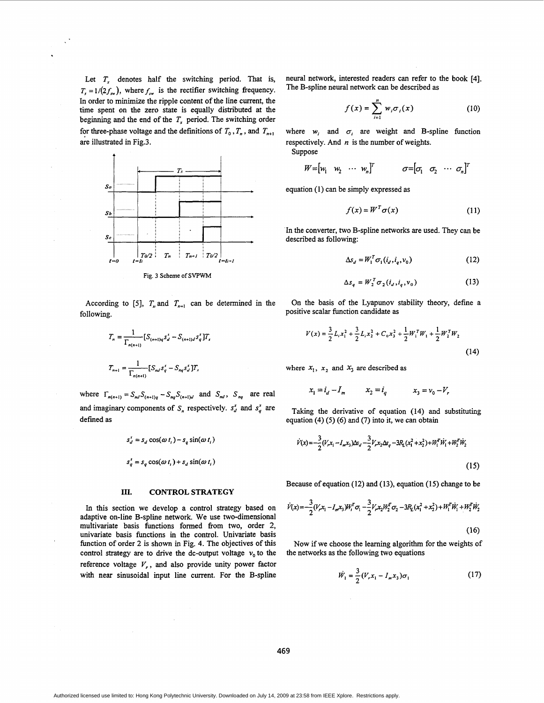Let  $T_s$  denotes half the switching period. That is,  $T_s = 1/(2f_{sw})$ , where  $f_{sw}$  is the rectifier switching frequency. In order to minimize the ripple content of the line current, the time spent on the zero state is equally distributed at the beginning and the end of the  $T<sub>s</sub>$  period. The switching order for three-phase voltage and the definitions of  $T_0$ ,  $T_n$ , and  $T_{n+1}$ are illustrated in Fig.3.



following. positive scalar function candidate **as** 

$$
T_n = \frac{1}{\Gamma_{n(n+1)}} [S_{(n+1)q} s_d^s - S_{(n+1)d} s_q^s] T_s
$$
  

$$
T_{n+1} = \frac{1}{\Gamma_{n(n+1)}} [S_{nd} s_q^s - S_{nq} s_d^s] T_s
$$

where  $\Gamma_{n(n+1)} = S_{nd} S_{(n+1)q} - S_{nq} S_{(n+1)q}$  and  $S_{nd}$ ,  $S_{nq}$  are real and imaginary components of  $S_n$  respectively.  $s_d^s$  and  $s_d^s$  are defined as

$$
s_d^s = s_d \cos(\omega t_i) - s_q \sin(\omega t_i)
$$
  

$$
s_q^s = s_q \cos(\omega t_i) + s_d \sin(\omega t_i)
$$

#### **111. CONTROL STRATEGY**

In this section we develop a control strategy based on <sup>*I*</sup> adaptive on-line B-spline network. We use two-dimensional multivariate basis functions formed fiom two, order 2, univariate basis functions in the control. Univariate basis function of order 2 is shown in Fig. 4. The objectives of this control strategy are to drive the dc-output voltage  $v_0$  to the reference voltage *V,,* and also provide unity power factor function of order 2 is shown in Fig. 4. The objectives of this Now if we choose the learning algorithm for the weights of control strategy are to drive the dc-output voltage  $v_0$  to the the networks as the following two

neural network, interested readers can refer to the book [4]. The B-spline neural network can be described as

$$
f(x) = \sum_{i=1}^{n} w_i \sigma_i(x) \tag{10}
$$

where  $w_i$  and  $\sigma_i$  are weight and B-spline function respectively. And  $n$  is the number of weights.

$$
W = \begin{bmatrix} w_1 & w_2 & \cdots & w_n \end{bmatrix}^T \qquad \qquad \sigma = \begin{bmatrix} \sigma_1 & \sigma_2 & \cdots & \sigma_n \end{bmatrix}^T
$$

equation (1) can be simply expressed as

$$
f(x) = W^T \sigma(x) \tag{11}
$$

In the converter, two B-spline networks are used. They can be . described **as** following:

$$
\Delta s_d = W_1^T \sigma_1(i_d, i_a, v_0) \tag{12}
$$

$$
\Delta s_q = W_2^T \sigma_2(i_d, i_q, v_0) \tag{13}
$$

According to [5],  $T_n$  and  $T_{n+1}$  can be determined in the On the basis of the Lyapunov stability theory, define a

$$
V(x) = \frac{3}{2} L_i x_1^2 + \frac{3}{2} L_i x_2^2 + C_0 x_3^2 + \frac{1}{2} W_1^T W_1 + \frac{1}{2} W_2^T W_2
$$
\n(14)

where  $x_1$ ,  $x_2$  and  $x_3$  are described as

$$
x_1=i_d-I_m \hspace{1cm} x_2=i_q \hspace{1cm} x_3=v_0-V_r
$$

Taking the derivative of equation (14) and substituting equation  $(4)$  (5) (6) and (7) into it, we can obtain

$$
\dot{V}(x) = -\frac{3}{2}(V_x x_1 - I_m x_3) \Delta s_d - \frac{3}{2}V_x x_2 \Delta s_q - 3R_L(x_1^2 + x_2^2) + W_1^T \dot{W}_1 + W_2^T \dot{W}_2
$$
\n(15)

Because of equation (12) and (13), equation **(15)** change to be

$$
\dot{V}(x) = -\frac{3}{2}(V_x x_1 - I_m x_3)W_i^T \sigma_1 - \frac{3}{2}V_x x_2 W_2^T \sigma_2 - 3R_L(x_1^2 + x_2^2) + W_1^T \dot{W}_1 + W_2^T \dot{W}_2
$$
\n(16)

Now if we choose the learning algorithm for the weights of the networks **as** the following two equations

$$
\dot{W}_1 = \frac{3}{2} (V_r x_1 - I_m x_3) \sigma_1 \tag{17}
$$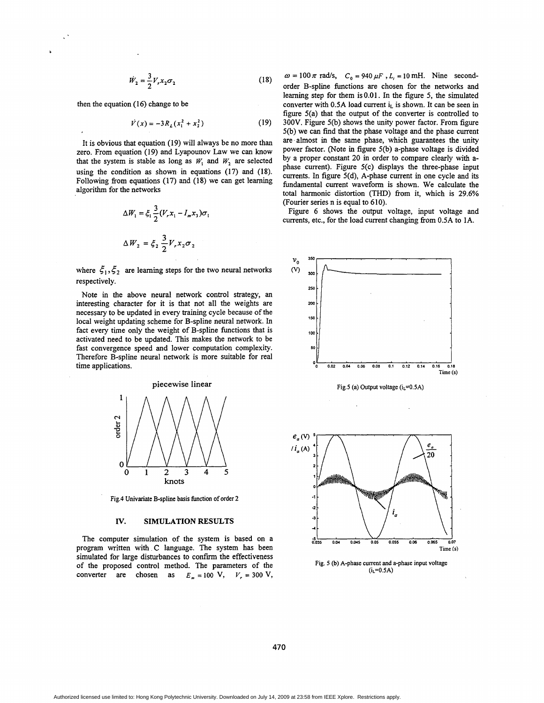$$
\dot{W}_2 = \frac{3}{2} V_r x_2 \sigma_2 \tag{18}
$$

then the equation (16) change to be

$$
\dot{V}(x) = -3R_L(x_1^2 + x_2^2) \tag{19}
$$

It is obvious that equation (19) will always be no more than zero. From equation (19) and Lyapounov Law we can know that the system is stable as long as  $W<sub>1</sub>$  and  $W<sub>2</sub>$  are selected using the condition **as** shown in equations (17) and (18). Following fiom equations **(17)** and (18) we can get learning algorithm for the networks

$$
\Delta W_1 = \xi_1 \frac{3}{2} (V_r x_1 - I_m x_3) \sigma
$$
  

$$
\Delta W_2 = \xi_2 \frac{3}{2} V_r x_2 \sigma_2
$$

where  $\xi_1, \xi_2$  are learning steps for the two neural networks respectively.

Note in the above neural network control strategy, an interesting character for it is that not all the weights are necessary to be updated in every training cycle because of the local weight updating scheme for B-spline neural network. In fact every time only the weight of B-spline functions that is activated need to be updated. This makes the network to be fast convergence speed **and** lower computation complexity. Therefore B-spline neural network is more suitable for real time applications.



Fig.4 Univariate B-spline basis function of order 2

### *JS'.* **SIMULATION RESULTS**

The computer simulation of the system is based on a program written with.C language. The system has been simulated for large disturbances to confirm the effectiveness of the proposed control method. The parameters of the converter are chosen as  $E_m = 100 \text{ V}, V_r = 300 \text{ V},$ 

 $\omega = 100 \pi$  rad/s,  $C_0 = 940 \mu F$ ,  $L_i = 10$  mH. Nine secondorder B-spline functions are chosen for the networks and learning step for them is 0.0 **1** . In the figure 5, the simulated converter with 0.5A load current i<sub>L</sub> is shown. It can be seen in figure 5(a) that the output of the converter is controlled to **300V.** Figure 5(b) shows the unity power factor. From figure **5(b)** we can find that the phase voltage and the phase current are'almost in the same phase, which guarantees the unity power factor. (Note in figure 5(b) a-phase voltage is divided by a proper constant 20 in order to compare clearly with **a**phase current). Figure 5(c) displays the three-phase input currents. In figure 5(d), A-phase current in one cycle and its fundamental current waveform is shown. We calculate the total harmonic distortion (THD) fiom it, which is 29.6% (Fourier series n is equal to 610).

Figure 6 shows the output voltage, input voltage and currents, etc., for the load current changing from 0.5A to 1A.

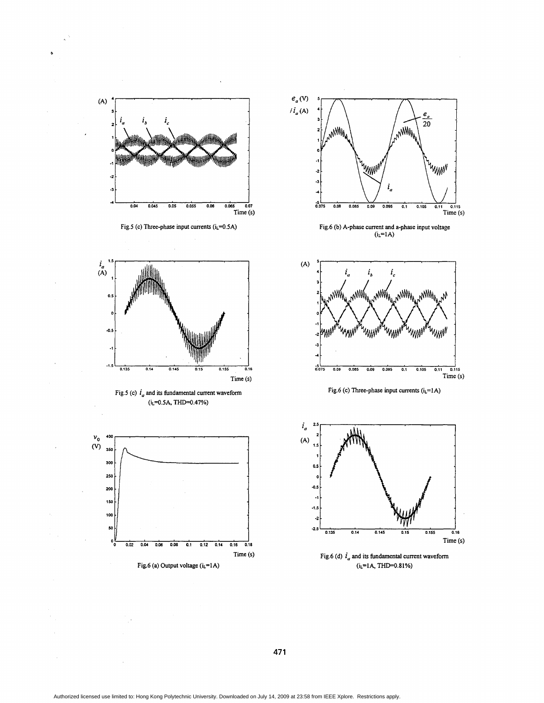

Authorized licensed use limited to: Hong Kong Polytechnic University. Downloaded on July 14, 2009 at 23:58 from IEEE Xplore. Restrictions apply.